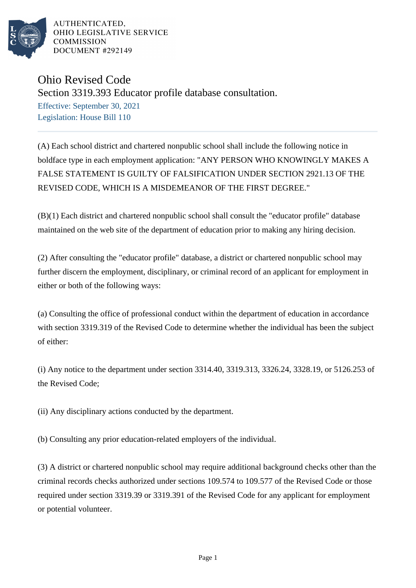

AUTHENTICATED. OHIO LEGISLATIVE SERVICE **COMMISSION** DOCUMENT #292149

## Ohio Revised Code

Section 3319.393 Educator profile database consultation.

Effective: September 30, 2021 Legislation: House Bill 110

(A) Each school district and chartered nonpublic school shall include the following notice in boldface type in each employment application: "ANY PERSON WHO KNOWINGLY MAKES A FALSE STATEMENT IS GUILTY OF FALSIFICATION UNDER SECTION 2921.13 OF THE REVISED CODE, WHICH IS A MISDEMEANOR OF THE FIRST DEGREE."

(B)(1) Each district and chartered nonpublic school shall consult the "educator profile" database maintained on the web site of the department of education prior to making any hiring decision.

(2) After consulting the "educator profile" database, a district or chartered nonpublic school may further discern the employment, disciplinary, or criminal record of an applicant for employment in either or both of the following ways:

(a) Consulting the office of professional conduct within the department of education in accordance with section 3319.319 of the Revised Code to determine whether the individual has been the subject of either:

(i) Any notice to the department under section 3314.40, 3319.313, 3326.24, 3328.19, or 5126.253 of the Revised Code;

(ii) Any disciplinary actions conducted by the department.

(b) Consulting any prior education-related employers of the individual.

(3) A district or chartered nonpublic school may require additional background checks other than the criminal records checks authorized under sections 109.574 to 109.577 of the Revised Code or those required under section 3319.39 or 3319.391 of the Revised Code for any applicant for employment or potential volunteer.